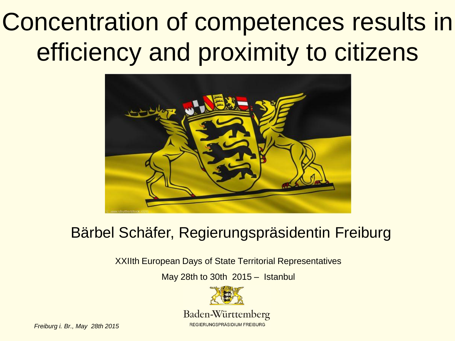# Concentration of competences results in efficiency and proximity to citizens



#### Bärbel Schäfer, Regierungspräsidentin Freiburg

XXIIth European Days of State Territorial Representatives

May 28th to 30th 2015 – Istanbul



Baden-Württemberg REGIERUNGSPRÄSIDIUM FREIBURG

*Freiburg i. Br., May 28th 2015*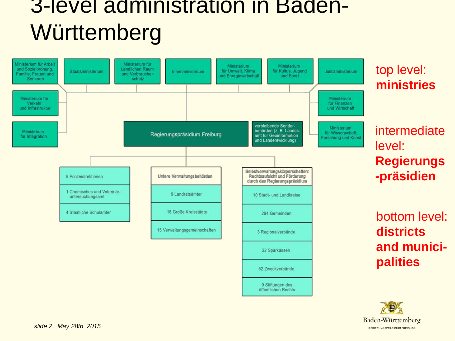#### 3-level administration in Baden-**Württemberg**



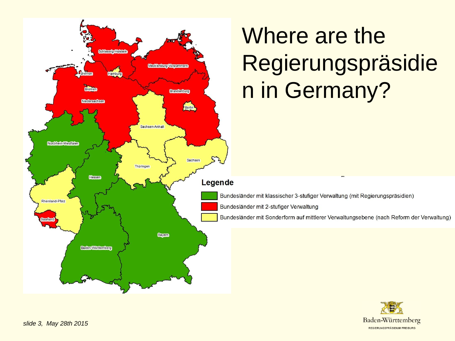

# Where are the Regierungspräsidie n in Germany?

Bundesländer mit klassischer 3-stufiger Verwaltung (mit Regierungspräsidien)

Bundesländer mit 2-stufiger Verwaltung

Bundesländer mit Sonderform auf mittlerer Verwaltungsebene (nach Reform der Verwaltung)

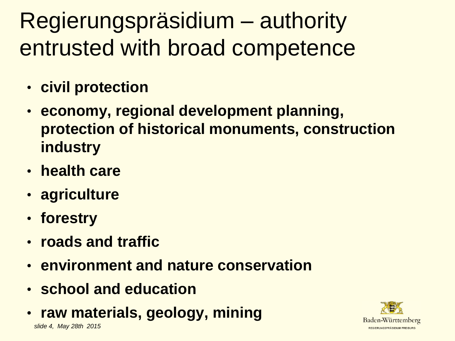Regierungspräsidium – authority entrusted with broad competence

- **civil protection**
- **economy, regional development planning, protection of historical monuments, construction industry**
- **health care**
- **agriculture**
- **forestry**
- **roads and traffic**
- **environment and nature conservation**
- **school and education**
- **raw materials, geology, mining**

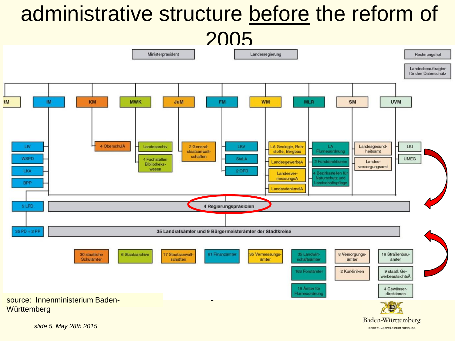#### administrative structure before the reform of

2005

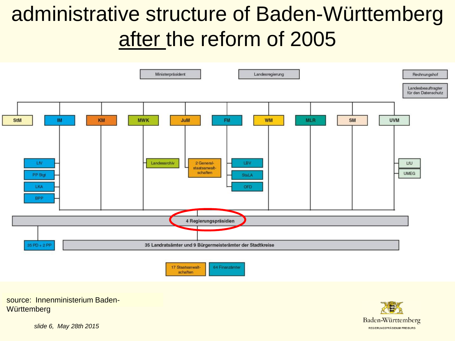### administrative structure of Baden-Württemberg after the reform of 2005



source: Innenministerium Baden-**Württemberg** 



*slide 6, May 28th 2015*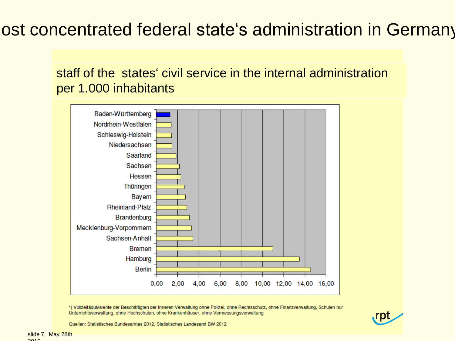#### ost concentrated federal state's administration in Germany

staff of the states' civil service in the internal administration per 1.000 inhabitants



\*) Vollzeitäquivalente der Beschäftigten der Inneren Verwaltung ohne Polizei, ohne Rechtsschutz, ohne Finanzverwaltung, Schulen nur Unterrichtsverwaltung, ohne Hochschulen, ohne Krankenhäuser, ohne Vermessungsverwaltung



Quellen: Statistisches Bundesamtes 2012, Statistisches Landesamt BW 2012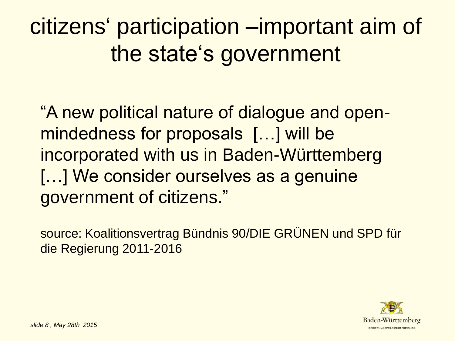# citizens" participation –important aim of the state's government

"A new political nature of dialogue and openmindedness for proposals […] will be incorporated with us in Baden-Württemberg [...] We consider ourselves as a genuine government of citizens."

source: Koalitionsvertrag Bündnis 90/DIE GRÜNEN und SPD für die Regierung 2011-2016

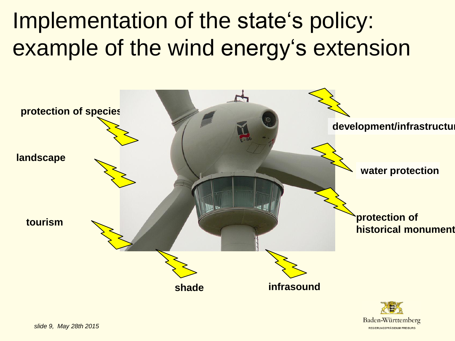Implementation of the state's policy: example of the wind energy's extension



REGIERUNGSPRÄSIDIUM EREIBURG

*slide 9, May 28th 2015*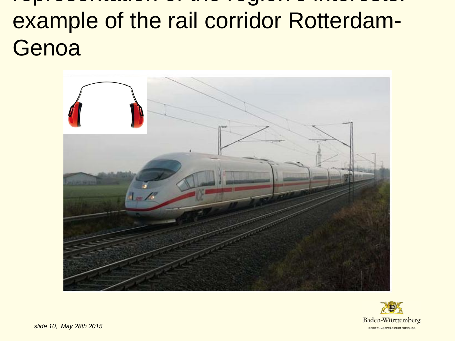## representation of the region"s interests: example of the rail corridor Rotterdam-Genoa